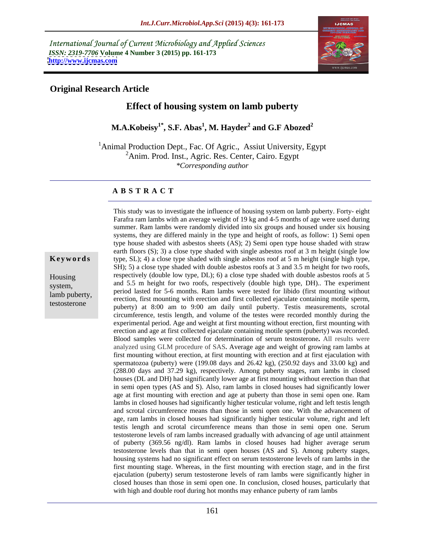International Journal of Current Microbiology and Applied Sciences *ISSN: 2319-7706* **Volume 4 Number 3 (2015) pp. 161-173 <http://www.ijcmas.com>**



## **Original Research Article**

# **Effect of housing system on lamb puberty**

**M.A.Kobeisy1\* , S.F. Abas<sup>1</sup> , M. Hayder<sup>2</sup> and G.F Abozed<sup>2</sup>**

<sup>1</sup>Animal Production Dept., Fac. Of Agric., Assiut University, Egypt <sup>2</sup>Anim. Prod. Inst., Agric. Res. Center, Cairo. Egypt *\*Corresponding author*

## **A B S T R A C T**

testosterone

This study was to investigate the influence of housing system on lamb puberty. Forty- eight Farafra ram lambs with an average weight of 19 kg and 4-5 months of age were used during summer. Ram lambs were randomly divided into six groups and housed under six housing systems, they are differed mainly in the type and height of roofs, as follow: 1) Semi open type house shaded with asbestos sheets (AS); 2) Semi open type house shaded with straw earth floors (S); 3) a close type shaded with single asbestos roof at 3 m height (single low **Keywords** type, SL); 4) a close type shaded with single asbestos roof at 5 m height (single high type, SH); 5) a close type shaded with double asbestos roofs at 3 and 3.5 m height for two roofs, Housing respectively (double low type, DL); 6) a close type shaded with double asbestos roofs at 5 system, and 5.5 m height for two roofs, respectively (double high type, DH). The experiment period lasted for 5-6 months. Ram lambs were tested for libido (first mounting without lamb puberty,<br>erection, first mounting with erection and first collected ejaculate containing motile sperm, puberty) at 8:00 am to 9:00 am daily until puberty. Testis measurements, scrotal circumference, testis length, and volume of the testes were recorded monthly during the experimental period. Age and weight at first mounting without erection, first mounting with erection and age at first collected ejaculate containing motile sperm (puberty) was recorded. Blood samples were collected for determination of serum testosterone**.** All results were analyzed using GLM procedure of SAS**.** Average age and weight of growing ram lambs at first mounting without erection, at first mounting with erection and at first ejaculation with spermatozoa (puberty) were (199.08 days and 26.42 kg), (250.92 days and 33.00 kg) and (288.00 days and 37.29 kg), respectively. Among puberty stages, ram lambsin closed houses (DL and DH) had significantly lower age at first mounting without erection than that in semi open types (AS and S). Also, ram lambs in closed houses had significantly lower age at first mounting with erection and age at puberty than those in semi open one. Ram lambs in closed houses had significantly higher testicular volume, right and left testis length and scrotal circumference means than those in semi open one. With the advancement of age, ram lambs in closed houses had significantly higher testicular volume, right and left testis length and scrotal circumference means than those in semi open one. Serum testosterone levels of ram lambs increased gradually with advancing of age until attainment of puberty (369.56 ng/dl). Ram lambs in closed houses had higher average serum testosterone levels than that in semi open houses (AS and S). Among puberty stages, housing systems had no significant effect on serum testosterone levels of ram lambs in the first mounting stage. Whereas, in the first mounting with erection stage, and in the first ejaculation (puberty) serum testosterone levels of ram lambs were significantly higher in closed houses than those in semi open one. In conclusion, closed houses, particularly that with high and double roof during hot months may enhance puberty of ram lambs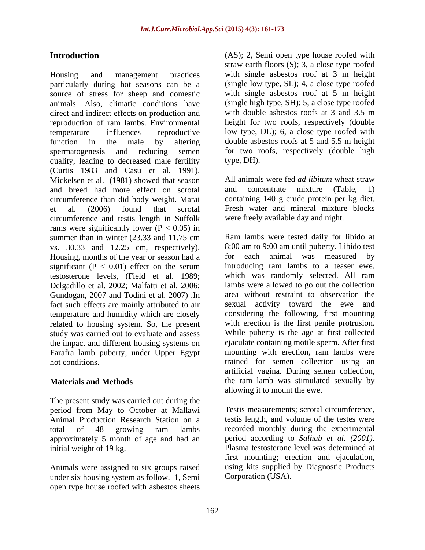Housing and management practices with single asbestos roof at 3 m height particularly during hot seasons can be a source of stress for sheep and domestic animals. Also, climatic conditions have (single high type, SH); 5, a close type roofed direct and indirect effects on production and reproduction of ram lambs. Environmental temperature influences reproductive low type, DL); 6, a close type roofed with function in the male by altering double asbestos roofs at 5 and 5.5 m height spermatogenesis and reducing semen for two roofs, respectively (double high quality, leading to decreased male fertility type, DH). (Curtis 1983 and Casu et al. 1991). Mickelsen et al. (1981) showed that season and breed had more effect on scrotal and concentrate mixture (Table, 1) circumference than did body weight. Marai et al. (2006) found that scrotal Fresh water and mineral mixture blocks circumference and testis length in Suffolk rams were significantly lower ( $P < 0.05$ ) in vs. 30.33 and 12.25 cm, respectively). Housing, months of the year or season had a for each animal was measured by significant ( $P < 0.01$ ) effect on the serum Delgadillo et al. 2002; Malfatti et al. 2006; Gundogan, 2007 and Todini et al. 2007) .In fact such effects are mainly attributed to air temperature and humidity which are closely related to housing system. So, the present study was carried out to evaluate and assess the impact and different housing systems on ejaculate containing motile sperm. After first<br>Farafra lamb puberty, under Upper Foypt mounting with erection, ram lambs were Farafra lamb puberty, under Upper Egypt

The present study was carried out during the period from May to October at Mallawi approximately 5 month of age and had an

Animals were assigned to six groups raised under six housing system as follow. 1, Semi open type house roofed with asbestos sheets

**Introduction** (AS); 2, Semi open type house roofed with straw earth floors (S); 3, a close type roofed (single low type, SL); 4, a close type roofed with single asbestos roof at 5 m height with double asbestos roofs at 3 and 3.5 m height for two roofs, respectively (double type, DH).

> All animals were fed *ad libitum* wheat straw and concentrate mixture (Table, 1) containing 140 g crude protein per kg diet. were freely available day and night.

summer than in winter (23.33 and 11.75 cm Ram lambs were tested daily for libido at testosterone levels, (Field et al. 1989; which was randomly selected. All ram hot conditions. The trained for semen collection using an analysis of the trained for semen collection using an **Materials and Methods** the ram lamb was stimulated sexually by Ram lambs were tested daily for libido at 8:00 am to 9:00 am until puberty. Libido test for each animal was measured introducing ram lambs to a teaser ewe, lambs were allowed to go out the collection area without restraint to observation the sexual activity toward the ewe and considering the following, first mounting with erection is the first penile protrusion. While puberty is the age at first collected ejaculate containing motile sperm. After first mounting with erection, ram lambs were artificial vagina. During semen collection, allowing it to mount the ewe.

Animal Production Research Station on a testis length, and volume of the testes were total of 48 growing ram lambs initial weight of 19 kg. Plasma testosterone level was determined at Testis measurements; scrotal circumference, recorded monthly during the experimental period according to *Salhab et al. (2001).* first mounting; erection and ejaculation, using kits supplied by Diagnostic Products Corporation (USA).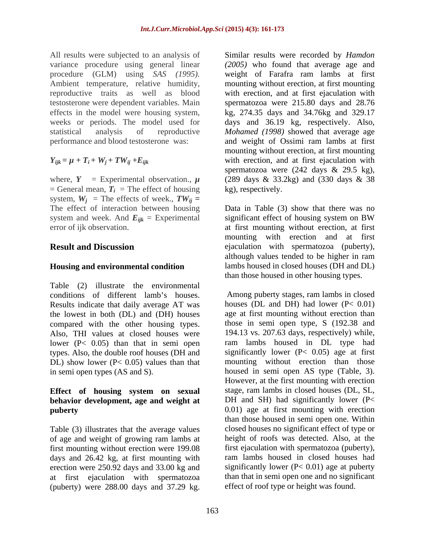variance procedure using general linear

where,  $Y =$  Experimental observation.,  $\mu$  (289 days & 33.2kg) and (330 days & 38<br>= General mean,  $T_i$  = The effect of housing kg), respectively. system,  $W_i$  = The effects of week.,  $TW_{ii}$  = The effect of interaction between housing system and week. And  $E_{ijk}$  = Experimental significant effect of housing system on BW

## **Housing and environmental condition**

Table (2) illustrate the environmental Results indicate that daily average AT was the lowest in both (DL) and (DH) houses compared with the other housing types. Also, THI values at closed houses were lower (P< 0.05) than that in semi open types. Also, the double roof houses (DH and DL) show lower ( $P < 0.05$ ) values than that

# **behavior development, age and weight at**

Table (3) illustrates that the average values of age and weight of growing ram lambs at first mounting without erection were 199.08 days and 26.42 kg, at first mounting with erection were 250.92 days and 33.00 kg and at first ejaculation with spermatozoa (puberty) were 288.00 days and 37.29 kg.

All results were subjected to an analysis of Similar results were recorded by *Hamdon*  procedure (GLM) using *SAS (1995).* weight of Farafra ram lambs at first Ambient temperature, relative humidity, mounting without erection, at first mounting<br>reproductive traits as well as blood with erection, and at first ejaculation with testosterone were dependent variables. Main spermatozoa were 215.80 days and 28.76 effects in the model were housing system, kg, 274.35 days and 34.76kg and 329.17 weeks or periods. The model used for days and 36.19 kg, respectively. Also, statistical analysis of reproductive *Mohamed (1998)* showed that average age performance and blood testosterone was: and weight of Ossimi ram lambs at first  $Y_{ijk} = \mu + T_i + W_j + TW_{ij} + E_{ijk}$  with erection, and at first ejaculation with *(2005)* who found that average age and mounting without erection, at first mounting with erection, and at first ejaculation with mounting without erection, at first mounting spermatozoa were  $(242 \text{ days } \& 29.5 \text{ kg})$ , (289 days & 33.2kg) and (330 days & 38 kg), respectively.

error of ijk observation. at first mounting without erection, at first **Result and Discussion** ejaculation with spermatozoa (puberty), Data in Table (3) show that there was no significant effect of housing system on BW mounting with erection and at first although values tended to be higher in ram lambs housed in closed houses (DH and DL) than those housed in other housing types.

conditions of different lamb's houses. Among puberty stages, ram lambs in closed in semi open types (AS and S). housed in semi open AS type (Table, 3). **Effect of housing system on sexual puberty** 0.01) age at first mounting with erection houses (DL and DH) had lower  $(P< 0.01)$ age at first mounting without erection than those in semi open type, S (192.38 and 194.13 vs. 207.63 days, respectively) while, ram lambs housed in DL type had significantly lower  $(P< 0.05)$  age at first mounting without erection than those However, at the first mounting with erection stage, ram lambs in closed houses (DL, SL, DH and SH) had significantly lower ( $P<$ than those housed in semi open one. Within closed houses no significant effect of type or height of roofs was detected. Also, at the first ejaculation with spermatozoa (puberty), ram lambs housed in closed houses had significantly lower  $(P< 0.01)$  age at puberty than that in semi open one and no significant effect of roof type or height was found.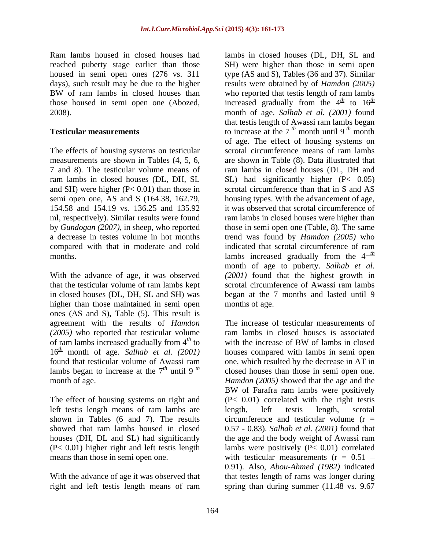Ram lambs housed in closed houses had lambs in closed houses (DL, DH, SL and reached puberty stage earlier than those housed in semi open ones (276 vs. 311 those housed in semi open one (Abozed,

The effects of housing systems on testicular scrotal circumference means of ram lambs and SH) were higher  $(P< 0.01)$  than those in 154.58 and 154.19 vs. 136.25 and 135.92

higher than those maintained in semi open ones (AS and S), Table (5). This result is agreement with the results of *Hamdon* (2005) who reported that testicular volume<br>of ram lambs increased gradually from  $4<sup>th</sup>$  to  $16<sup>th</sup>$  month of age. *Salhab et al.* (2001) found that testicular volume of Awassi ram

The effect of housing systems on right and left testis length means of ram lambs are

right and left testis length means of ram spring than during summer (11.48 vs. 9.67

days), such result may be due to the higher results were obtained by of *Hamdon (2005)* BW of ram lambs in closed houses than who reported that test is length of ram lambs 2008). month of age. *Salhab et al. (2001)* found **Testicular measurements** to increase at the  $7<sup>th</sup>$  month until  $9<sup>th</sup>$  month measurements are shown in Tables (4, 5, 6, are shown in Table (8). Data illustrated that 7 and 8). The testicular volume means of ram lambs in closed houses (DL, DH and ram lambs in closed houses (DL, DH, SL SL) had significantly higher (P< 0.05) semi open one, AS and S (164.38, 162.79, housing types. With the advancement of age, ml, respectively). Similar results were found ram lambs in closed houses were higher than by *Gundogan (2007)*, in sheep, who reported those in semi open one (Table, 8). The same a decrease in testes volume in hot months trend was found by *Hamdon (2005)* who compared with that in moderate and cold indicated that scrotal circumference of ram months.  $\blacksquare$  lambs increased gradually from the  $4\frac{m}{n}$ With the advance of age, it was observed *(2001)* found that the highest growth in that the testicular volume of ram lambs kept scrotal circumference of Awassi ram lambs in closed houses (DL, DH, SL and SH) was began at the 7 months and lasted until 9 SH) were higher than those in semi open type (AS and S), Tables (36 and 37). Similar who reported that testis length of ram lambs increased gradually from the  $4^{th}$  to  $16^{th}$  $\frac{th}{t}$  to  $16^{th}$ *th* that testis length of Awassi ram lambs began *th* month of age. The effect of housing systems on scrotal circumference means of ram lambs scrotal circumference than that in S and AS it was observed that scrotal circumference of *th* month of age to puberty. *Salhab et al.* months of age.

of ram lambs increased gradually from  $4^{\frac{th}{2}}$  to with the increase of BW of lambs in closed with the increase of BW of lambs in closed found that testicular volume of Awassi ram one, which resulted by the decrease in AT in lambs began to increase at the  $7<sup>th</sup>$  until  $9<sup>-th</sup>$  closed houses than those in semi open one. month of age. *Hamdon (2005)* showed that the age and the shown in Tables (6 and 7). The results circumference and testicular volume  $(r =$ showed that ram lambs housed in closed 0.57 - 0.83). *Salhab et al. (2001)* found that houses (DH, DL and SL) had significantly the age and the body weight of Awassi ram (P< 0.01) higher right and left testis length lambs were positively (P< 0.01) correlated means than those in semi open one.  $\text{with }$  testicular measurements  $(r = 0.51 -$ With the advance of age it was observed that that testes length of rams was longer during The increase of testicular measurements of ram lambs in closed houses is associated with the increase of BW of lambs in closed houses compared with lambs in semi open BW of Farafra ram lambs were positively (P< 0.01) correlated with the right testis length, left testis length, scrotal 0.91). Also, *Abou-Ahmed (1982)* indicated spring than during summer (11.48 vs. 9.67)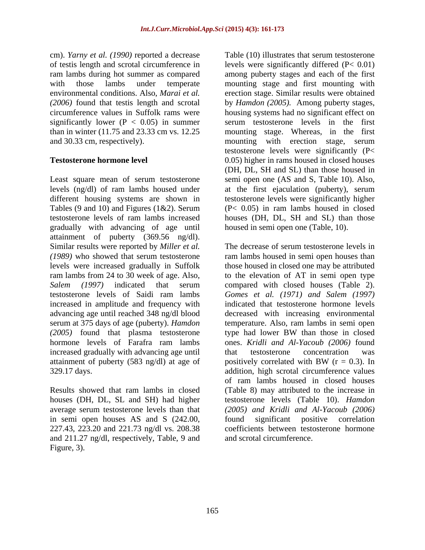cm). *Yarny et al. (1990)* reported a decrease significantly lower ( $P < 0.05$ ) in summer

Least square mean of serum testosterone levels (ng/dl) of ram lambs housed under at the first ejaculation (puberty), serum different housing systems are shown in testosterone levels were significantly higher Tables (9 and 10) and Figures (1&2). Serum testosterone levels of ram lambs increased houses (DH, DL, SH and SL) than those gradually with advancing of age until attainment of puberty (369.56 ng/dl). Similar results were reported by *Miller et al.* increased in amplitude and frequency with advancing age until reached 348 ng/dl blood serum at 375 days of age (puberty). *Hamdon (2005)* found that plasma testosterone increased gradually with advancing age until that testosterone concentration was attainment of puberty (583 ng/dl) at age of positively correlated with BW  $(r = 0.3)$ . In

houses (DH, DL, SL and SH) had higher in semi open houses AS and S (242.00, found significant positive correlation and 211.27 ng/dl, respectively, Table, 9 and Figure, 3).

of testis length and scrotal circumference in levels were significantly differed (P< 0.01) ram lambs during hot summer as compared among puberty stages and each of the first with those lambs under temperate mounting stage and first mounting with environmental conditions. Also, *Marai et al.* erection stage. Similar results were obtained *(2006)* found that testis length and scrotal by *Hamdon (2005).* Among puberty stages, circumference values in Suffolk rams were housing systems had no significant effect on than in winter (11.75 and 23.33 cm vs. 12.25 mounting stage. Whereas, in the first and 30.33 cm, respectively). mounting with erection stage, serum **Testosterone hormone level** 0.05) higher in rams housed in closed houses Table (10) illustrates that serum testosterone serum testosterone levels in the first testosterone levels were significantly (P< (DH, DL, SH and SL) than those housed in semi open one (AS and S, Table 10). Also, (P< 0.05) in ram lambs housed in closed housed in semi open one (Table, 10).

*(1989)* who showed that serum testosterone ram lambs housed in semi open houses than levels were increased gradually in Suffolk those housed in closed one may be attributed ram lambs from 24 to 30 week of age. Also, to the elevation of AT in semi open type *Salem (1997)* indicated that serum compared with closed houses (Table 2). testosterone levels of Saidi ram lambs *Gomes et al. (1971) and Salem (1997)* hormone levels of Farafra ram lambs ones. *Kridli and Al-Yacoub (2006)* found 329.17 days. addition, high scrotal circumference values Results showed that ram lambs in closed (Table 8) may attributed to the increase in average serum testosterone levels than that *(2005) and Kridli and Al-Yacoub (2006)* 227.43, 223.20 and 221.73 ng/dl vs. 208.38 coefficients between testosterone hormone The decrease of serum testosterone levels in indicated that testosterone hormone levels decreased with increasing environmental temperature. Also, ram lambs in semi open type had lower BW than those in closed that testosterone concentration was positively correlated with BW  $(r = 0.3)$ . In of ram lambs housed in closed houses testosterone levels (Table 10). *Hamdon*  found significant positive correlation and scrotal circumference.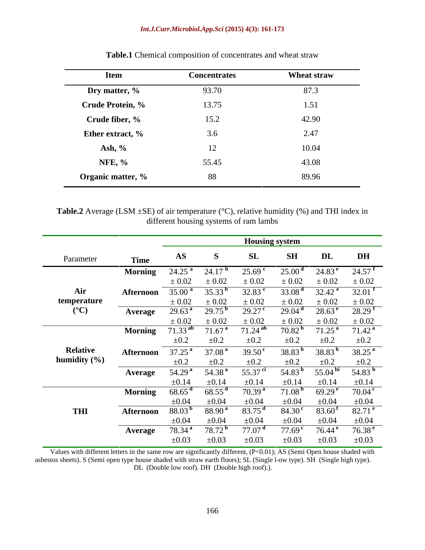## *Int.J.Curr.Microbiol.App.Sci* **(2015) 4(3): 161-173**

| <b>Item</b>             | <b>Concentrates</b> | <b>Wheat straw</b> |
|-------------------------|---------------------|--------------------|
| Dry matter, %           | 93.70               | 87.3               |
| <b>Crude Protein, %</b> | 13.75               | 1.51               |
| Crude fiber, %          | 15.2                | 42.90              |
| Ether extract, %        | 3.6                 | 2.47               |
| Ash, %                  | 12                  | 10.04              |
| <b>NFE, %</b>           | 55.45               | 43.08              |
| Organic matter, %       | 88                  | 89.96              |

**Table.1** Chemical composition of concentrates and wheat straw

**Table.2** Average (LSM  $\pm$ SE) of air temperature ( $\degree$ C), relative humidity (%) and THI index in different housing systems of ram lambs

| <b>SH</b><br>DL<br>AS<br>Parameter<br><b>Time</b><br>$24.25a$ 24.17 <sup>b</sup><br>25.00 <sup>d</sup><br>$24.83^{\text{ e}}$<br>$25.69$ c<br><b>Morning</b><br>$\pm 0.02$<br>$\pm 0.02$<br>$\pm 0.02$<br>$\pm\,0.02$<br>$\pm 0.02$<br>$\overline{35.00^{\mathrm{a}}}$ $\overline{35.33^{\mathrm{b}}}$<br>32.83 $^{\rm c}$<br>33.08 <sup>d</sup><br>$32.\overline{42^e}$<br>Air<br><b>Afternoon</b><br>$\pm 0.02$<br>temperature<br>$\pm 0.02$<br>$\pm 0.02$<br>E 0.02<br>$\pm 0.02$<br>$({}^{\circ}C)$<br>$29.27^{\circ}$<br>$28.63^{\text{ e}}$<br>29.63 <sup>a</sup><br>$29.75^{\mathrm{b}}$<br>29.04 <sup>d</sup><br>Average<br>$\pm 0.02$<br>$\pm\,0.02$<br>: 0.02<br>: 0.02<br>$\pm 0.02$<br>$71.33$ <sup>ab</sup><br>70.82 <sup>b</sup><br>71.25 <sup>a</sup><br>$71.67^{\text{ a}}$<br>$71.24$ <sup>ab</sup><br><b>Morning</b><br>±0.2<br>$\pm 0.2$<br>$\pm 0.2$<br>$\pm 0.2$<br>$\pm 0.2$<br><b>Relative</b><br>$37.25^{\text{a}}$<br>$39.50^{\circ}$<br>37.08 <sup>a</sup><br>$38.83^{\mathrm{b}}$<br>$38.83^{b}$<br>Afternoon<br>humidity $(\% )$<br>$\pm 0.2$<br>$\pm 0.2$<br>$\pm 0.2$<br>$\pm 0.2$<br>$\pm 0.2$<br>54.29 <sup>a</sup><br>54.38 $^{a}$<br>55.37 $^{\rm ci}$<br>54.83 $^{\rm b}$<br>55.04 $^{bi}$<br>Average<br>$\pm 0.14$<br>$\pm 0.14$<br>$\pm 0.14$<br>$\pm 0.14$<br>$\pm 0.14$<br><b>Morning</b><br>$68.65$ <sup>d</sup><br>70.39 <sup>a</sup><br>$69.29^{\text{e}}$<br>$68.55^{\text{ d}}$<br>71.08 <sup>b</sup><br>$\pm 0.04$<br>$\pm 0.04$<br>83.75 $^{\rm d}$<br>88.03 <sup>b</sup><br>$88.90^{\text{ a}}$<br>84.30 <sup>c</sup><br>83.60 <sup>f</sup><br>THI<br>Afternoon<br>$\pm 0.04$<br>$\pm 0.04$<br>$\pm 0.04$<br>$\pm 0.04$<br>$\pm 0.04$<br>$\pm 0.04$<br>78.34 <sup>a</sup><br>$77.07$ <sup>d</sup><br>77.69 <sup>c</sup><br>$78.72^{\mathrm{b}}$<br>76.44 $^{\circ}$<br><b>Average</b> |  |            |            | Housing system |            |            |                      |
|--------------------------------------------------------------------------------------------------------------------------------------------------------------------------------------------------------------------------------------------------------------------------------------------------------------------------------------------------------------------------------------------------------------------------------------------------------------------------------------------------------------------------------------------------------------------------------------------------------------------------------------------------------------------------------------------------------------------------------------------------------------------------------------------------------------------------------------------------------------------------------------------------------------------------------------------------------------------------------------------------------------------------------------------------------------------------------------------------------------------------------------------------------------------------------------------------------------------------------------------------------------------------------------------------------------------------------------------------------------------------------------------------------------------------------------------------------------------------------------------------------------------------------------------------------------------------------------------------------------------------------------------------------------------------------------------------------------------------------------------------------------------------------------------------------------------------------------|--|------------|------------|----------------|------------|------------|----------------------|
|                                                                                                                                                                                                                                                                                                                                                                                                                                                                                                                                                                                                                                                                                                                                                                                                                                                                                                                                                                                                                                                                                                                                                                                                                                                                                                                                                                                                                                                                                                                                                                                                                                                                                                                                                                                                                                      |  |            |            |                |            |            | <b>DH</b>            |
|                                                                                                                                                                                                                                                                                                                                                                                                                                                                                                                                                                                                                                                                                                                                                                                                                                                                                                                                                                                                                                                                                                                                                                                                                                                                                                                                                                                                                                                                                                                                                                                                                                                                                                                                                                                                                                      |  |            |            |                |            |            | $24.57$ <sup>t</sup> |
|                                                                                                                                                                                                                                                                                                                                                                                                                                                                                                                                                                                                                                                                                                                                                                                                                                                                                                                                                                                                                                                                                                                                                                                                                                                                                                                                                                                                                                                                                                                                                                                                                                                                                                                                                                                                                                      |  |            |            |                |            |            | $\pm 0.02$           |
|                                                                                                                                                                                                                                                                                                                                                                                                                                                                                                                                                                                                                                                                                                                                                                                                                                                                                                                                                                                                                                                                                                                                                                                                                                                                                                                                                                                                                                                                                                                                                                                                                                                                                                                                                                                                                                      |  |            |            |                |            |            | 32.01                |
|                                                                                                                                                                                                                                                                                                                                                                                                                                                                                                                                                                                                                                                                                                                                                                                                                                                                                                                                                                                                                                                                                                                                                                                                                                                                                                                                                                                                                                                                                                                                                                                                                                                                                                                                                                                                                                      |  |            |            |                |            |            | $\pm 0.02$           |
|                                                                                                                                                                                                                                                                                                                                                                                                                                                                                                                                                                                                                                                                                                                                                                                                                                                                                                                                                                                                                                                                                                                                                                                                                                                                                                                                                                                                                                                                                                                                                                                                                                                                                                                                                                                                                                      |  |            |            |                |            |            | 28.29 <sup>f</sup>   |
|                                                                                                                                                                                                                                                                                                                                                                                                                                                                                                                                                                                                                                                                                                                                                                                                                                                                                                                                                                                                                                                                                                                                                                                                                                                                                                                                                                                                                                                                                                                                                                                                                                                                                                                                                                                                                                      |  |            |            |                |            |            | $\pm 0.02$           |
|                                                                                                                                                                                                                                                                                                                                                                                                                                                                                                                                                                                                                                                                                                                                                                                                                                                                                                                                                                                                                                                                                                                                                                                                                                                                                                                                                                                                                                                                                                                                                                                                                                                                                                                                                                                                                                      |  |            |            |                |            |            | 71.42 <sup>a</sup>   |
|                                                                                                                                                                                                                                                                                                                                                                                                                                                                                                                                                                                                                                                                                                                                                                                                                                                                                                                                                                                                                                                                                                                                                                                                                                                                                                                                                                                                                                                                                                                                                                                                                                                                                                                                                                                                                                      |  |            |            |                |            |            | $\pm 0.2$            |
|                                                                                                                                                                                                                                                                                                                                                                                                                                                                                                                                                                                                                                                                                                                                                                                                                                                                                                                                                                                                                                                                                                                                                                                                                                                                                                                                                                                                                                                                                                                                                                                                                                                                                                                                                                                                                                      |  |            |            |                |            |            | $38.25^{\text{a}}$   |
|                                                                                                                                                                                                                                                                                                                                                                                                                                                                                                                                                                                                                                                                                                                                                                                                                                                                                                                                                                                                                                                                                                                                                                                                                                                                                                                                                                                                                                                                                                                                                                                                                                                                                                                                                                                                                                      |  |            |            |                |            |            | ±0.2                 |
|                                                                                                                                                                                                                                                                                                                                                                                                                                                                                                                                                                                                                                                                                                                                                                                                                                                                                                                                                                                                                                                                                                                                                                                                                                                                                                                                                                                                                                                                                                                                                                                                                                                                                                                                                                                                                                      |  |            |            |                |            |            | 54.83                |
|                                                                                                                                                                                                                                                                                                                                                                                                                                                                                                                                                                                                                                                                                                                                                                                                                                                                                                                                                                                                                                                                                                                                                                                                                                                                                                                                                                                                                                                                                                                                                                                                                                                                                                                                                                                                                                      |  |            |            |                |            |            | $\pm 0.14$           |
|                                                                                                                                                                                                                                                                                                                                                                                                                                                                                                                                                                                                                                                                                                                                                                                                                                                                                                                                                                                                                                                                                                                                                                                                                                                                                                                                                                                                                                                                                                                                                                                                                                                                                                                                                                                                                                      |  |            |            |                |            |            | 70.04                |
|                                                                                                                                                                                                                                                                                                                                                                                                                                                                                                                                                                                                                                                                                                                                                                                                                                                                                                                                                                                                                                                                                                                                                                                                                                                                                                                                                                                                                                                                                                                                                                                                                                                                                                                                                                                                                                      |  |            |            |                |            |            | $\pm 0.04$           |
|                                                                                                                                                                                                                                                                                                                                                                                                                                                                                                                                                                                                                                                                                                                                                                                                                                                                                                                                                                                                                                                                                                                                                                                                                                                                                                                                                                                                                                                                                                                                                                                                                                                                                                                                                                                                                                      |  |            |            |                |            |            | $82.71$ <sup>e</sup> |
|                                                                                                                                                                                                                                                                                                                                                                                                                                                                                                                                                                                                                                                                                                                                                                                                                                                                                                                                                                                                                                                                                                                                                                                                                                                                                                                                                                                                                                                                                                                                                                                                                                                                                                                                                                                                                                      |  |            |            |                |            |            |                      |
|                                                                                                                                                                                                                                                                                                                                                                                                                                                                                                                                                                                                                                                                                                                                                                                                                                                                                                                                                                                                                                                                                                                                                                                                                                                                                                                                                                                                                                                                                                                                                                                                                                                                                                                                                                                                                                      |  |            |            |                |            |            | 76.38 $^{\rm e}$     |
|                                                                                                                                                                                                                                                                                                                                                                                                                                                                                                                                                                                                                                                                                                                                                                                                                                                                                                                                                                                                                                                                                                                                                                                                                                                                                                                                                                                                                                                                                                                                                                                                                                                                                                                                                                                                                                      |  | $\pm 0.03$ | $\pm 0.03$ | $\pm 0.03$     | $\pm 0.03$ | $\pm 0.03$ | $\pm 0.03$           |

Values with different letters in the same row are significantly different, (P<0.01); AS (Semi Open house shaded with asbestos sheets). S (Semi open type house shaded with straw earth floors); SL (Single l-ow type). SH (Single high type). DL (Double low roof). DH (Double high roof).).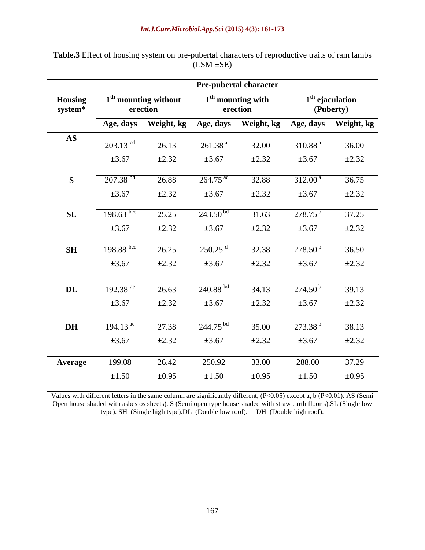|                                   |                                |                                              | Pre-pubertal character |                                 |                                           |            |  |
|-----------------------------------|--------------------------------|----------------------------------------------|------------------------|---------------------------------|-------------------------------------------|------------|--|
| <b>Housing</b><br>system*         |                                | 1 <sup>th</sup> mounting without<br>erection |                        | $1th$ mounting with<br>erection | $1^{\rm th}$ ejaculation<br>(Puberty)     |            |  |
|                                   | Age, days                      |                                              |                        |                                 | Weight, kg Age, days Weight, kg Age, days | Weight, kg |  |
| $\overline{\mathbf{A}}\mathbf{S}$ | $203.13$ <sup>cd</sup>         | 26.13                                        | 261.38 <sup>a</sup>    | 32.00                           | 310.88 <sup>a</sup>                       | 36.00      |  |
|                                   | $\pm 3.67$                     | $\pm 2.32$                                   | $\pm 3.67$             | $\pm 2.32$                      | $\pm 3.67$                                | $\pm 2.32$ |  |
| $\mathbf{S}$                      | $207.38$ <sup>bd</sup>         | 26.88                                        | $264.75$ <sup>ac</sup> | 32.88                           | $312.00^{\text{ a}}$                      | 36.75      |  |
|                                   | $\pm 3.67$                     | $\pm 2.32$                                   | $\pm 3.67$             | $\pm 2.32$                      | $\pm 3.67$                                | $\pm 2.32$ |  |
| SL                                | 198.63 bce                     | 25.25                                        | $243.50^{bd}$          | 31.63                           | $278.75^{b}$                              | 37.25      |  |
|                                   | $\pm 3.67$                     | $\pm 2.32$                                   | $\pm 3.67$             | $\pm 2.32$                      | $\pm 3.67$                                | $\pm 2.32$ |  |
| <b>SH</b>                         | $198.88 \text{ }^{\text{bce}}$ | 26.25                                        | 250.25                 | 32.38                           | $278.50^{b}$                              | 36.50      |  |
|                                   | $\pm 3.67$                     | $\pm 2.32$                                   | $\pm 3.67$             | $\pm 2.32$                      | $\pm 3.67$                                | $\pm 2.32$ |  |
|                                   |                                |                                              |                        |                                 |                                           |            |  |
| DL                                | 192.38 $^{\text{ae}}$          | 26.63                                        | $240.88^{bd}$          | 34.13                           | 274.50 <sup>b</sup>                       | 39.13      |  |
|                                   | $\pm 3.67$                     | $\pm 2.32$                                   | $\pm 3.67$             | $\pm 2.32$                      | $\pm 3.67$                                | $\pm 2.32$ |  |
| <b>DH</b>                         | 194.13 $^{ac}$                 | 27.38                                        | 244.75 <sup>bd</sup>   | 35.00                           | 273.38 <sup>b</sup>                       | 38.13      |  |
|                                   | $\pm 3.67$                     | $\pm 2.32$                                   | $\pm 3.67$             | $\pm 2.32$                      | $\pm 3.67$                                | $\pm 2.32$ |  |
| <b>Average</b>                    | 199.08                         | 26.42                                        | 250.92                 | 33.00                           | 288.00                                    | 37.29      |  |
|                                   | $\pm 1.50$                     | $\pm 0.95$                                   | ±1.50                  | $\pm 0.95$                      | ±1.50                                     | $\pm 0.95$ |  |

Table.3 Effect of housing system on pre-pubertal characters of reproductive traits of ram lambs (LSM  $\pm$ SE)  $(LSM \pm SE)$ 

Values with different letters in the same column are significantly different, (P<0.05) except a, b (P<0.01). AS (Semi Open house shaded with asbestos sheets). S (Semi open type house shaded with straw earth floor s).SL (Single low type). SH (Single high type).DL (Double low roof). DH (Double high roof).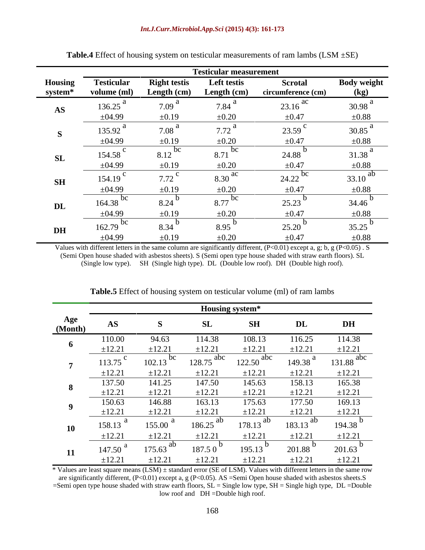|                        |                                                                             |                     | <b>Testicular measurement</b> |                       |                    |
|------------------------|-----------------------------------------------------------------------------|---------------------|-------------------------------|-----------------------|--------------------|
| <b>Housing</b>         | <b>Testicular</b>                                                           | <b>Right testis</b> | Left testis                   | <b>Scrotal</b>        | <b>Body weight</b> |
| system*                | volume (ml)                                                                 | Length (cm)         | Length (cm)                   | circumference (cm)    | (kg)               |
| $\mathbf{A}\mathbf{S}$ | 136.25                                                                      | 7.09 <sup>°</sup>   | 7.84                          | $23.16$ <sup>ac</sup> | 30.98              |
|                        | $\pm 04.99$                                                                 | $\pm 0.19$          | $\pm 0.20$                    | $\pm 0.47$            | $\pm 0.88$         |
|                        | 135.92                                                                      | 7.08                | 7.72                          | 23.59                 | 30.85              |
|                        | ±04.99                                                                      | $\pm 0.19$          | $\pm 0.20$                    | $\pm 0.47$            | $\pm 0.88$         |
| SL                     | 154.58                                                                      | 8.12 bc             | $8.71$ bc                     | 24.88                 | 31.38              |
|                        | ±04.99                                                                      | $\pm 0.19$          | $\pm 0.20$                    | $\pm 0.47$            | $\pm 0.88$         |
| <b>SH</b>              | 154.19                                                                      | 7.72                | $8.30$ <sup>ac</sup>          | $24.22$ bc            | ał<br>33.10        |
|                        | ±04.99<br><u> Linda a Carl Communication and the Carl Communication and</u> | $\pm 0.19$          | $\pm 0.20$                    | $\pm 0.47$            | $\pm 0.88$         |
| $\mathbf{DL}$          | $164.38$ <sup>DC</sup>                                                      | 8.24                | $8.77$ bc                     | 25.23                 | 34.46              |
|                        | ±04.99                                                                      | $\pm 0.19$          | $\pm 0.20$                    | $\pm 0.47$            | $\pm 0.88$         |
| DH                     | - DC<br>162.79                                                              | 8.34                | 8.95                          | 25.20                 | 35.25              |
|                        | ±04.99                                                                      | $\pm 0.19$          | $\pm 0.20$                    | $\pm 0.47$            | $\pm 0.88$         |

| <b>Table.4</b> Effect of housing system on testicular<br>cular measurements of ram L.<br>i wouvuitu | . 1ambs (LSM –<br><br>1 LU-LIVI<br>، سەھ |  |
|-----------------------------------------------------------------------------------------------------|------------------------------------------|--|
|                                                                                                     |                                          |  |

Values with different letters in the same column are significantly different, (P<0.01) except a, g; b, g (P<0.05). S (Semi Open house shaded with asbestos sheets). S (Semi open type house shaded with straw earth floors). SL (Single low type). SH (Single high type). DL (Double low roof). DH (Double high roof).

|                |             |                        | <b>Housing system*</b>  |                        |                        |                         |
|----------------|-------------|------------------------|-------------------------|------------------------|------------------------|-------------------------|
| Age<br>(Month) |             |                        |                         | <b>SH</b>              | DI                     | <b>DH</b>               |
|                | 110.00      | 94.63                  | 114.38                  | 108.13                 | 116.25                 | 114.38                  |
|                | ±12.21      | ±12.21                 | ±12.21                  | ±12.21                 | ±12.21                 | ±12.21                  |
|                | 113.75      | $102.13$ bc            | $128.75$ <sup>abc</sup> | $122.50$ abc           | 149.38 $^{a}$          | $131.88$ <sup>abc</sup> |
|                | $-12.21$    | $\pm 12.2$             | $\pm 12.21$             | $\pm 12.21$            | ±12.21                 | $\pm 12.21$             |
|                | 137.50      | 141.25                 | 147.50                  | 145.63                 | 158.13                 | 165.38                  |
|                | ±12.21      | ±12.21                 | ±12.21                  | $\pm 12.21$            | ±12.21                 | $\pm 12.21$             |
|                | 150.63      | 146.88                 | 163.13                  | 175.63                 | 177.50                 | 169.13                  |
|                | $\pm 12.21$ | ±12.21                 | ±12.21                  | ±12.21                 | $\pm 12.21$            | ±12.21                  |
| <b>10</b>      | 158.13      | 155.00                 | $186.25$ <sup>ab</sup>  | $178.13$ <sup>ab</sup> | $183.13$ <sup>at</sup> | 194.38                  |
|                | $\pm 12.21$ | $\pm 12.21$            | ±12.21                  | $\pm 12.21$            | $\pm 12.21$            | $\pm 12.21$             |
|                | 147.50      | $175.63$ <sup>at</sup> | 187.50                  | 195.13                 | 201.88                 | 201.63                  |
|                | ±12.21      | $±12.2$ .              | ±12.21                  | ±12.21                 | $\pm 12.2$             | ±12.2                   |

**Table.5** Effect of housing system on testicular volume (ml) of ram lambs

\* Values are least square means (LSM) ± standard error (SE of LSM). Values with different letters in the same row are significantly different, (P<0.01) except a, g (P<0.05). AS =Semi Open house shaded with asbestos sheets.S  $=$ Semi open type house shaded with straw earth floors,  $SL =$  Single low type,  $SH =$  Single high type,  $DL =$ Double low roof and DH =Double high roof.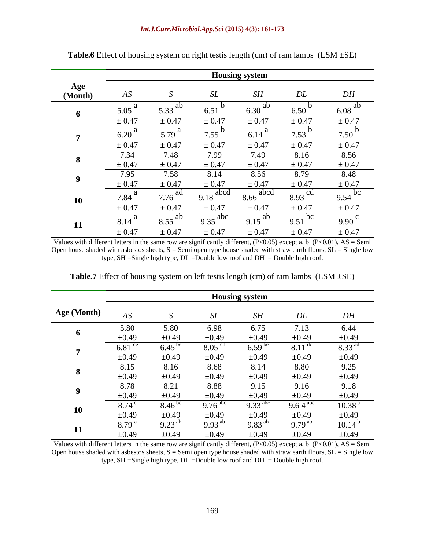|           |            |            |                        | <b>Housing system</b>  |                      |             |
|-----------|------------|------------|------------------------|------------------------|----------------------|-------------|
| (Month    |            |            |                        | SH                     | DL                   | DH          |
|           | 0.05       |            | 6.51                   |                        | 550                  |             |
|           | $\pm 0.47$ | $\pm 0.47$ | $\pm 0.47$             | $\pm 0.47$             | $\pm 0.47$           | $= 0.47$    |
|           | 6.20       | 5. 79 i    | 7.55                   | 6.14                   | 7.53                 | 7.50        |
|           | $\pm 0.47$ | $\pm 0.47$ | $\pm 0.47$             | $\pm 0.47$             | $\pm 0.47$           | $\pm$ 0.47  |
|           | 7.34       | 1.48       | 7.99                   | 7.49                   | 8.16                 | 8.56        |
|           | $\pm 0.47$ | $\pm 0.47$ | $\pm 0.47$             | $\pm 0.47$             | $\pm 0.47$           | $\pm\,0.47$ |
|           | 7.95       | 7.58       | 8.14                   | 8.56                   | 8.79                 | 8.48        |
|           | $\pm 0.47$ | $\pm 0.47$ | ± 0.47                 | $\pm 0.47$             | $\pm 0.47$           | $\pm 0.47$  |
| <b>10</b> | 7.84       | $77c$ au   | $9.18$ <sup>abcd</sup> | $8.66$ <sup>abcd</sup> | $8.93$ <sup>cd</sup> | $Q \leq 4$  |
|           | $\pm 0.47$ | $\pm 0.47$ | $\pm 0.47$             | $\pm 0.47$             | $\pm 0.47$           | $\pm 0.47$  |
| 11        | 8.14       | 8.55       | 9.35 $^{\rm apc}$      | 9.15                   | $9.51$ DC            | 9.90        |
|           | $\pm 0.47$ | $\pm 0.47$ | $\pm 0.47$             | $\pm 0.47$             | $\pm 0.47$           | $\pm 0.47$  |

**Table.6** Effect of housing system on right testis length (cm) of ram lambs  $(LSM \pm SE)$ 

Values with different letters in the same row are significantly different,  $(P<0.05)$  except a, b  $(P<0.01)$ , AS = Semi Open house shaded with asbestos sheets,  $S =$  Semi open type house shaded with straw earth floors,  $SL =$  Single low type, SH = Single high type,  $DL$  = Double low roof and  $DH$  = Double high roof.

|                    |                                                                                                                                                                                                                                                                                                                                                                                                                                                                           |                   |                       | <b>Housing system</b> |                    |                          |
|--------------------|---------------------------------------------------------------------------------------------------------------------------------------------------------------------------------------------------------------------------------------------------------------------------------------------------------------------------------------------------------------------------------------------------------------------------------------------------------------------------|-------------------|-----------------------|-----------------------|--------------------|--------------------------|
| <b>Age (Month)</b> |                                                                                                                                                                                                                                                                                                                                                                                                                                                                           |                   |                       | CL                    | DI                 | DH                       |
|                    | 5.80                                                                                                                                                                                                                                                                                                                                                                                                                                                                      |                   | 6.98                  | 5.75                  | 7.13               | 6.44                     |
|                    | ±0.49                                                                                                                                                                                                                                                                                                                                                                                                                                                                     | $\pm 0.49$        | $\pm 0.49$            | $\pm 0.49$            | $\pm 0.49$         | $\pm 0.49$               |
|                    | 6.81 $\degree$                                                                                                                                                                                                                                                                                                                                                                                                                                                            | $6.45^{6}$        | $8.05$ $\degree$      | 6.59                  | 8.11 <sup>°</sup>  | $\Omega$ 33 <sup>a</sup> |
|                    | $\pm 0.49$                                                                                                                                                                                                                                                                                                                                                                                                                                                                | $\pm 0.49$        | $\pm 0.49$            | ±0.49                 | ±0.49              | $\pm 0.49$               |
|                    | 8.15                                                                                                                                                                                                                                                                                                                                                                                                                                                                      | 8.16              | 8.68                  | 8.14                  | 8.80               | 9.25                     |
|                    | $\pm 0.49$                                                                                                                                                                                                                                                                                                                                                                                                                                                                | $\pm 0.49$        | $\pm 0.49$            | $\pm 0.49$            | ±0.49              | $\pm 0.49$               |
|                    | 8.78                                                                                                                                                                                                                                                                                                                                                                                                                                                                      | ∪.∠ ј             | 8.88                  | 9.15                  | 9.16               | 9.18                     |
|                    | $\pm 0.49$                                                                                                                                                                                                                                                                                                                                                                                                                                                                | $\pm 0.49$        | $\pm 0.49$            | $\pm 0.49$            | $\pm 0.49$         | $\pm 0.49$               |
|                    | $8.74$ <sup>c</sup>                                                                                                                                                                                                                                                                                                                                                                                                                                                       | $8.46^{\circ}$    | $9.76$ <sup>abc</sup> | $\Omega$ 22 abc       | 9.64 <sup>ab</sup> | 10.38 <sup>a</sup>       |
|                    | $\pm 0.49$                                                                                                                                                                                                                                                                                                                                                                                                                                                                | $\pm 0.49$        | $\pm 0.49$            | $\pm 0.49$            | $\pm 0.49$         | $\pm 0.49$               |
|                    | $\label{eq:3.1} \begin{array}{ll} \mathbf{1}_{\mathbf{1}_{\mathbf{1}_{\mathbf{1}_{\mathbf{1}_{\mathbf{1}_{\mathbf{1}_{\mathbf{1}_{\mathbf{1}}}}}}\mathbf{1}_{\mathbf{1}_{\mathbf{1}_{\mathbf{1}}}}\mathbf{1}_{\mathbf{1}_{\mathbf{1}_{\mathbf{1}}}}\mathbf{1}_{\mathbf{1}_{\mathbf{1}_{\mathbf{1}}}}\mathbf{1}_{\mathbf{1}_{\mathbf{1}_{\mathbf{1}}}}\mathbf{1}_{\mathbf{1}_{\mathbf{1}_{\mathbf{1}}}}\mathbf{1}_{\mathbf{1}_{\mathbf{1}_{\mathbf{1$<br>8.79 <sup>a</sup> | 9.23 <sup>a</sup> | $9.93^{ab}$           | $9.83^{ab}$           | $9.79^{\circ}$     | $10.14^{b}$              |
|                    | $\pm 0.49$                                                                                                                                                                                                                                                                                                                                                                                                                                                                | $\pm 0.49$        | ±0.49                 | ±0.49                 | $\pm 0.49$         | $\pm 0.49$               |

**Table.7** Effect of housing system on left testis length (cm) of ram lambs  $(LSM \pm SE)$ 

Values with different letters in the same row are significantly different,  $(P<0.05)$  except a, b  $(P<0.01)$ , AS = Semi Open house shaded with asbestos sheets,  $S =$  Semi open type house shaded with straw earth floors,  $SL =$  Single low type, SH =Single high type, DL =Double low roof and DH = Double high roof.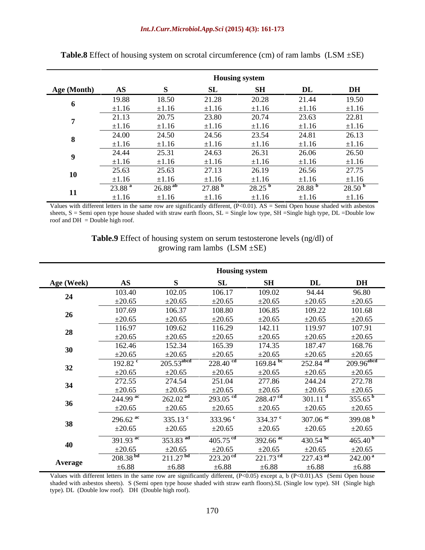## *Int.J.Curr.Microbiol.App.Sci* **(2015) 4(3): 161-173**

|             |                    |                 | <b>Housing system</b> |                    |             |                    |
|-------------|--------------------|-----------------|-----------------------|--------------------|-------------|--------------------|
| Age (Month) |                    |                 | - CT                  | SH                 | DL          | <b>DH</b>          |
|             | 19.88              | 18.50           | 21.28                 | 20.28              | 21.44       | 19.50              |
|             |                    |                 |                       |                    |             | $+1.16$            |
|             | 21.13              | 20.75           | 23.80                 | 20.74              | 23.63       | 22.81              |
|             |                    |                 |                       |                    |             | $\pm 1.16$         |
|             | 24.00              | 24.50           | 24.56                 | 23.54              | 24.81       | 26.13              |
|             |                    |                 |                       |                    |             | $\pm 1.16$         |
|             | 24.44              | 25.31           | 24.63                 | 26.31              | 26.06       | 26.50              |
|             | $+1.16$            | +1 16           |                       |                    | $+1.16$     | $\pm 1.16$         |
| 10          | 25.63              | 25.63           | 27.13                 | 26.19              | 26.56       | 27.75              |
|             | $\pm 1.16$         | ±1.16           | $\pm 1.16$            | $\pm 1.16$         | $\pm 1.16$  | $\pm 1.16$         |
|             | 23.88 <sup>k</sup> | $26.88^{\circ}$ | $27.88^{\mathrm{b}}$  | 28.25 <sup>b</sup> | $28.88^{b}$ | 28.50 <sup>b</sup> |
|             | ±1.16              | $\pm 1.16$      | $\pm 1.16$            | $\pm 1.16$         | $\pm 1.16$  | $\pm 1.16$         |

**Table.8** Effect of housing system on scrotal circumference (cm) of ram lambs  $(LSM \pm SE)$ 

Values with different letters in the same row are significantly different,  $(P<0.01)$ . AS = Semi Open house shaded with asbestos sheets, S = Semi open type house shaded with straw earth floors, SL = Single low type, SH = Single high type, DL = Double low roof and DH = Double high roof.

> **Table.9** Effect of housing system on serum testosterone levels (ng/dl) of growing ram lambs  $(LSM \pm SE)$

|                |                               |                          | <b>Housing system</b>  |                        |                        |                            |
|----------------|-------------------------------|--------------------------|------------------------|------------------------|------------------------|----------------------------|
| Age (Week)     | $\mathbf{A}\mathbf{S}$        |                          |                        | <b>SH</b>              | $\mathbf{DL}$          | D <sub>H</sub>             |
|                | 103.40                        | 102.05                   | 106.17                 | 109.02                 | 94.44                  | 96.80                      |
|                | $\frac{\pm 20.65}{2}$         | $\pm 20.65$              | $\pm 20.65$            | $\pm 20.65$            | $\pm 20.65$            | $\pm 20.65$                |
|                | 107.69                        | 106.37                   | 108.80                 | 106.85                 | 109.22                 | 101.68                     |
|                | $\pm 20.65$                   | $\pm 20.65$<br>109.62    | $\pm 20.65$            | $\pm 20.65$            | $\pm 20.65$            | $\frac{\pm 20.65}{107.91}$ |
| 28             | 116.97                        | $\pm 20.65$              | 116.29<br>$\pm 20.65$  | 142.11<br>$\pm 20.65$  | 119.97<br>$\pm 20.65$  | $\pm 20.65$                |
|                | $\pm 20.65$<br>162.46         | 152.34                   | 165.39                 | 174.35                 | 187.47                 | 168.76                     |
|                | $\pm 20.65$                   | $\pm 20.65$              | $\pm 20.65$            | $\pm 20.65$            | $\pm 20.65$            | $\pm 20.65$                |
|                | $192.82$ <sup>c</sup>         | $205.53$ <sup>abcd</sup> | $228.40$ <sup>cd</sup> | 169.84 bc              | 252.84 ad              | $209.96$ <sup>abcd</sup>   |
|                | $\frac{\pm 20.65}{\pm 20.65}$ | $\pm 20.65$              | $\pm 20.65$            | $\pm 20.65$            | $\pm 20.65$            | $\pm 20.65$                |
|                | 272.55                        | 274.54                   | 251.04                 | 277.86                 | 244.24                 | 272.78                     |
|                | $\pm 20.65$                   | $\pm 20.65$              | $\pm 20.65$            | $\pm 20.65$            | $\pm 20.65$            | $\pm 20.65$                |
|                | $244.99$ <sup>ac</sup>        | 262.02 <sup>ad</sup>     | $293.05$ <sup>cd</sup> | 288.47 <sup>cd</sup>   | $301.11$ <sup>d</sup>  | 355.65 <sup>b</sup>        |
|                | $\pm 20.65$                   | $\pm 20.65$              | $\pm 20.65$            | $\pm 20.65$            | $\pm 20.65$            | $\pm 20.65$                |
| 38             | $296.62$ <sup>ac</sup>        | 335.13 $^{\circ}$        | 333.96 $^{\circ}$      | 334.37 <sup>c</sup>    | $307.06$ <sup>ac</sup> | 399.08 $^{\rm h}$          |
|                | $\pm 20.65$                   | $\pm 20.65$              | ±20.65                 | $\pm 20.65$            | $\pm 20.65$            | $\pm 20.65$                |
|                | 391.93 ac                     | 353.83 ad                | 405.75 $^{\rm cd}$     | $392.66$ <sup>ac</sup> | $\frac{430.54}{b}$     | $465.40^{b}$               |
|                | $\pm 20.65$                   | $\pm 20.65$              | $\pm 20.65$            | $\pm 20.65$            | $\pm 20.65$            | $\pm 20.65$                |
| <b>Average</b> | 208.38 <sup>bd</sup>          | 211.27 <sup>bd</sup>     | $223.20$ <sup>cd</sup> | $221.73$ <sup>cd</sup> | $227.43$ <sup>ad</sup> | 242.00 <sup>a</sup>        |
|                | $\pm 6.88$                    | $\pm 6.88$               | $\pm 6.88$             | $\pm 6.88$             | $\pm 6.88$             | $\pm 6.88$                 |

Values with different letters in the same row are significantly different, (P<0.05) except a, b (P<0.01).AS (Semi Open house shaded with asbestos sheets). S (Semi open type house shaded with straw earth floors).SL (Single low type). SH (Single high type). DL (Double low roof). DH (Double high roof).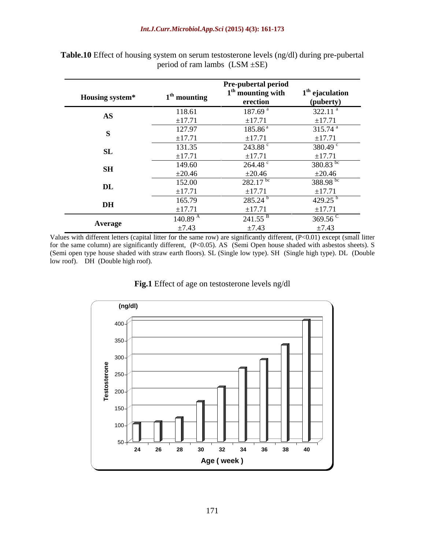|                 |                | Pre-pubertal period             |                                |
|-----------------|----------------|---------------------------------|--------------------------------|
| Housing system* | $1th$ mounting | $1th$ mounting with<br>erection | $1th$ ejaculation<br>(puberty) |
| AS              | 118.61         | 187.69 <sup>a</sup>             | $322.11$ <sup>a</sup>          |
|                 | ±17.71         | ±17.71                          | $\pm 17.71$                    |
|                 | 127.97         | $185.86^{\circ}$                | $315.74$ <sup>a</sup>          |
|                 | $\pm 17.71$    | ±17.71                          | ±17.71                         |
| <b>SL</b>       | 131.35         | 243.88                          | 380.49 $\degree$               |
|                 | ±17.71         | ±17.71                          | $\pm$ 17.71                    |
| <b>SH</b>       | 149.60         | $264.48$ $\degree$              | 380.83 bc                      |
|                 | $\pm 20.46$    | $\pm 20.46$                     | $\pm 20.46$                    |
| $\mathbf{DL}$   | 152.00         | $282.17$ <sup>bc</sup>          | 388.98 bs                      |
|                 | $\pm 17.71$    | $\pm 17.71$                     | $\pm 17.71$                    |
| $\mathbf{D}$ H  | 165.79         | 285.24                          | 429.25                         |
|                 | ±17.71         | ±17.71                          | ±17.71                         |
| Average         | 140.89         | 241.55                          | 369.56                         |
|                 | $\pm 7.43$     | $\pm 7.43$                      | $\pm 7.43$                     |

**Table.10** Effect of housing system on serum testosterone levels (ng/dl) during pre-pubertal period of ram lambs (LSM ±SE)

Values with different letters (capital litter for the same row) are significantly different,  $(P<0.01)$  except (small litter for the same column) are significantly different, (P<0.05). AS (Semi Open house shaded with asbestos sheets). S (Semi open type house shaded with straw earth floors). SL (Single low type). SH (Single high type). DL (Double low roof). DH (Double high roof).



## **Fig.1** Effect of age on testosterone levels ng/dl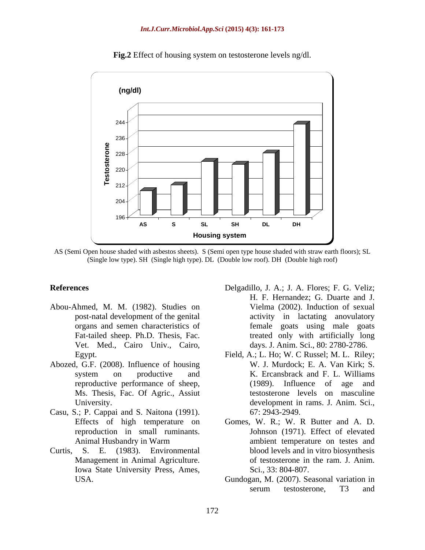

**Fig.2** Effect of housing system on testosterone levels ng/dl.

AS (Semi Open house shaded with asbestos sheets). S (Semi open type house shaded with straw earth floors); SL (Single low type). SH (Single high type). DL (Double low roof). DH (Double high roof)

- Abou-Ahmed, M. M. (1982). Studies on Vet. Med., Cairo Univ., Cairo,
- Abozed, G.F. (2008). Influence of housing Ms. Thesis, Fac. Of Agric., Assiut
- Casu, S.; P. Cappai and S. Naitona (1991).
- Iowa State University Press, Ames,
- **References** Delgadillo, J. A.; J. A. Flores; F. G. Veliz; post-natal development of the genital activity in lactating anovulatory organs and semen characteristics of female goats using male goats Fat-tailed sheep. Ph.D. Thesis, Fac. These treated only with artificially long H. F. Hernandez; G. Duarte and J. Vielma (2002). Induction of sexual days. J. Anim. Sci., 80: 2780-2786.
	- Egypt. Field, A.; L. Ho; W. C Russel; M. L. Riley; system on productive and K. Ercansbrack and F. L. Williams reproductive performance of sheep, (1989). Influence of age and University. development in rams. J.Anim. Sci., W. J. Murdock; E. A. Van Kirk; S. K. Ercansbrack and F. L. Williams (1989). Influence of age and testosterone levels on masculine 67: 2943-2949.
- Effects of high temperature on Gomes, W. R.; W.R Butter and A. D. reproduction in small ruminants. Johnson (1971). Effect of elevated Animal Husbandry in Warm ambient temperature on testes and Curtis, S. E. (1983). Environmental blood levels and in vitro biosynthesis Management in Animal Agriculture.  $\qquad \qquad$  of testosterone in the ram. J. Anim. Sci., 33: 804-807.
	- USA. Gundogan, M. (2007). Seasonal variation in serum testosterone, T3 and